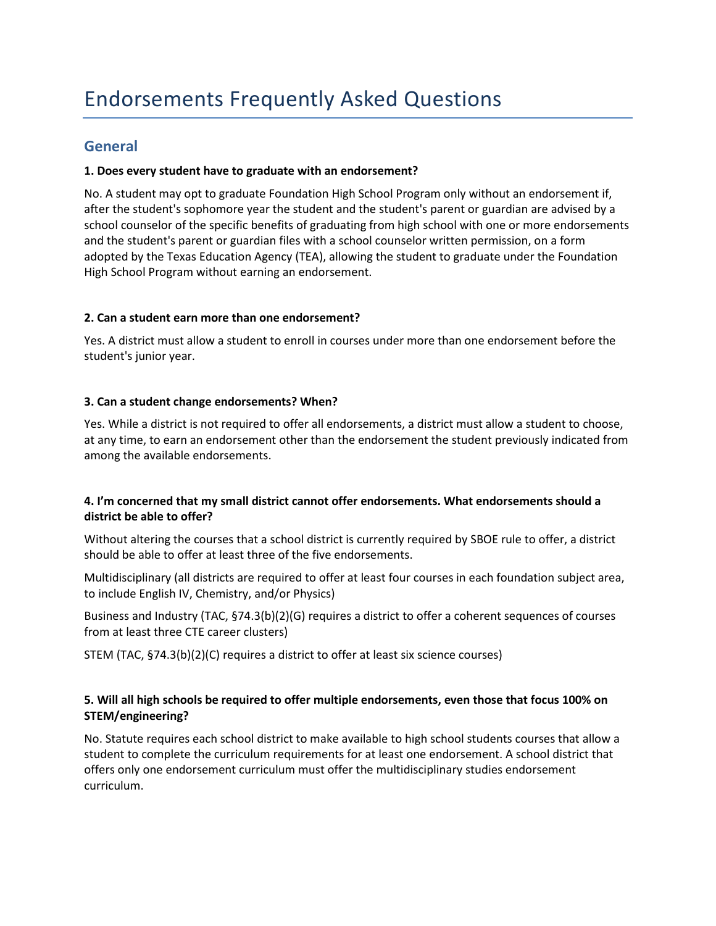# **General**

## **1. Does every student have to graduate with an endorsement?**

No. A student may opt to graduate Foundation High School Program only without an endorsement if, after the student's sophomore year the student and the student's parent or guardian are advised by a school counselor of the specific benefits of graduating from high school with one or more endorsements and the student's parent or guardian files with a school counselor written permission, on a form adopted by the Texas Education Agency (TEA), allowing the student to graduate under the Foundation High School Program without earning an endorsement.

## **2. Can a student earn more than one endorsement?**

Yes. A district must allow a student to enroll in courses under more than one endorsement before the student's junior year.

## **3. Can a student change endorsements? When?**

Yes. While a district is not required to offer all endorsements, a district must allow a student to choose, at any time, to earn an endorsement other than the endorsement the student previously indicated from among the available endorsements.

## **4. I'm concerned that my small district cannot offer endorsements. What endorsements should a district be able to offer?**

Without altering the courses that a school district is currently required by SBOE rule to offer, a district should be able to offer at least three of the five endorsements.

Multidisciplinary (all districts are required to offer at least four courses in each foundation subject area, to include English IV, Chemistry, and/or Physics)

Business and Industry (TAC, §74.3(b)(2)(G) requires a district to offer a coherent sequences of courses from at least three CTE career clusters)

STEM (TAC, §74.3(b)(2)(C) requires a district to offer at least six science courses)

## **5. Will all high schools be required to offer multiple endorsements, even those that focus 100% on STEM/engineering?**

No. Statute requires each school district to make available to high school students courses that allow a student to complete the curriculum requirements for at least one endorsement. A school district that offers only one endorsement curriculum must offer the multidisciplinary studies endorsement curriculum.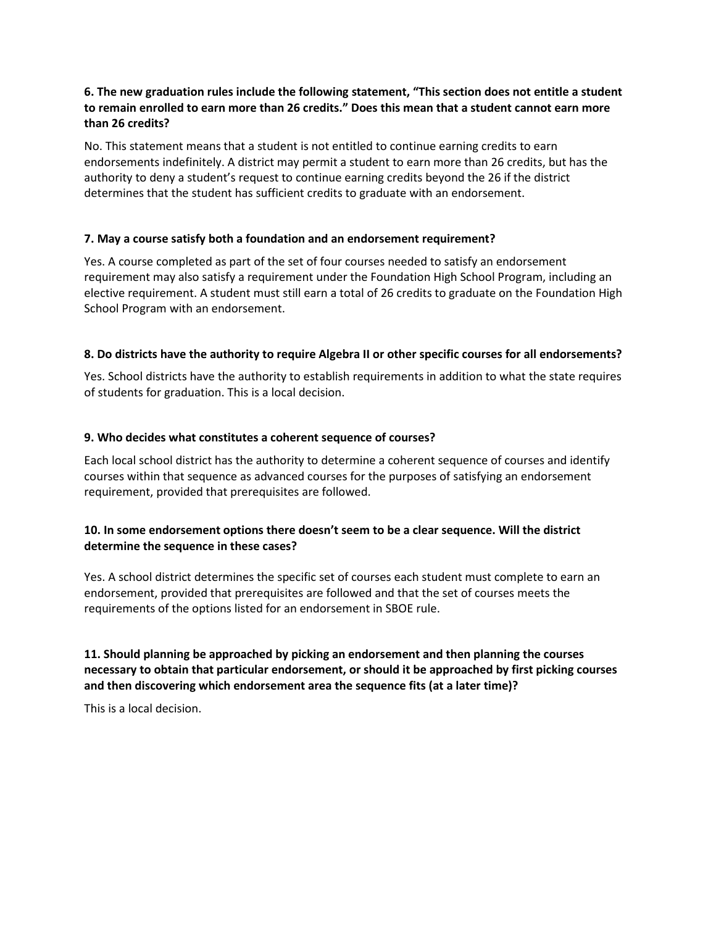## **6. The new graduation rules include the following statement, "This section does not entitle a student to remain enrolled to earn more than 26 credits." Does this mean that a student cannot earn more than 26 credits?**

No. This statement means that a student is not entitled to continue earning credits to earn endorsements indefinitely. A district may permit a student to earn more than 26 credits, but has the authority to deny a student's request to continue earning credits beyond the 26 if the district determines that the student has sufficient credits to graduate with an endorsement.

## **7. May a course satisfy both a foundation and an endorsement requirement?**

Yes. A course completed as part of the set of four courses needed to satisfy an endorsement requirement may also satisfy a requirement under the Foundation High School Program, including an elective requirement. A student must still earn a total of 26 credits to graduate on the Foundation High School Program with an endorsement.

## **8. Do districts have the authority to require Algebra II or other specific courses for all endorsements?**

Yes. School districts have the authority to establish requirements in addition to what the state requires of students for graduation. This is a local decision.

## **9. Who decides what constitutes a coherent sequence of courses?**

Each local school district has the authority to determine a coherent sequence of courses and identify courses within that sequence as advanced courses for the purposes of satisfying an endorsement requirement, provided that prerequisites are followed.

## **10. In some endorsement options there doesn't seem to be a clear sequence. Will the district determine the sequence in these cases?**

Yes. A school district determines the specific set of courses each student must complete to earn an endorsement, provided that prerequisites are followed and that the set of courses meets the requirements of the options listed for an endorsement in SBOE rule.

**11. Should planning be approached by picking an endorsement and then planning the courses necessary to obtain that particular endorsement, or should it be approached by first picking courses and then discovering which endorsement area the sequence fits (at a later time)?**

This is a local decision.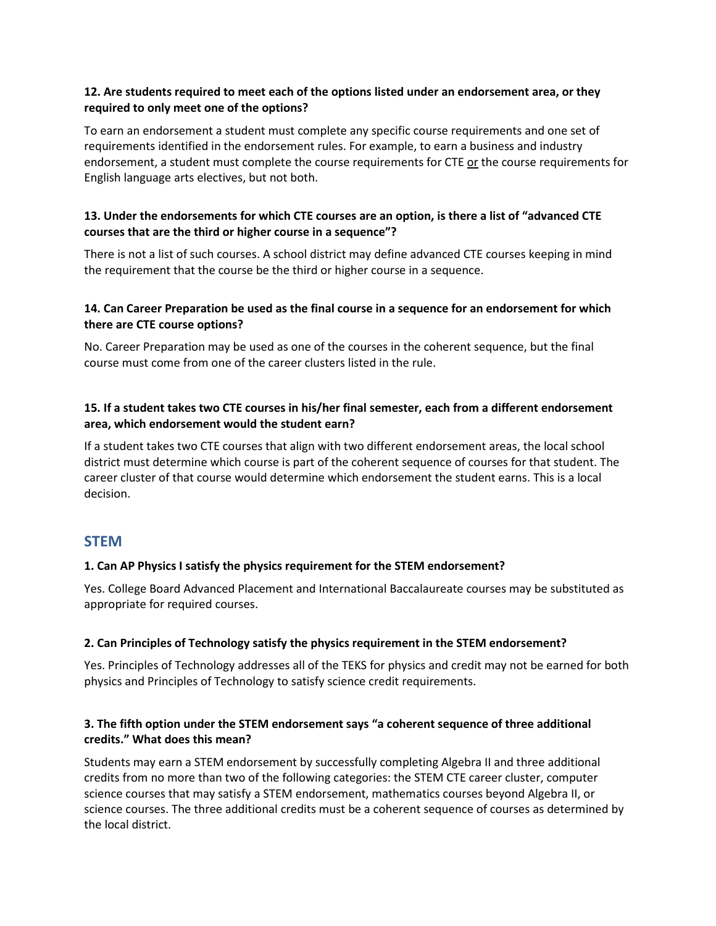## **12. Are students required to meet each of the options listed under an endorsement area, or they required to only meet one of the options?**

To earn an endorsement a student must complete any specific course requirements and one set of requirements identified in the endorsement rules. For example, to earn a business and industry endorsement, a student must complete the course requirements for CTE or the course requirements for English language arts electives, but not both.

## **13. Under the endorsements for which CTE courses are an option, is there a list of "advanced CTE courses that are the third or higher course in a sequence"?**

There is not a list of such courses. A school district may define advanced CTE courses keeping in mind the requirement that the course be the third or higher course in a sequence.

## **14. Can Career Preparation be used as the final course in a sequence for an endorsement for which there are CTE course options?**

No. Career Preparation may be used as one of the courses in the coherent sequence, but the final course must come from one of the career clusters listed in the rule.

## **15. If a student takes two CTE courses in his/her final semester, each from a different endorsement area, which endorsement would the student earn?**

If a student takes two CTE courses that align with two different endorsement areas, the local school district must determine which course is part of the coherent sequence of courses for that student. The career cluster of that course would determine which endorsement the student earns. This is a local decision.

## **STEM**

### **1. Can AP Physics I satisfy the physics requirement for the STEM endorsement?**

Yes. College Board Advanced Placement and International Baccalaureate courses may be substituted as appropriate for required courses.

### **2. Can Principles of Technology satisfy the physics requirement in the STEM endorsement?**

Yes. Principles of Technology addresses all of the TEKS for physics and credit may not be earned for both physics and Principles of Technology to satisfy science credit requirements.

## **3. The fifth option under the STEM endorsement says "a coherent sequence of three additional credits." What does this mean?**

Students may earn a STEM endorsement by successfully completing Algebra II and three additional credits from no more than two of the following categories: the STEM CTE career cluster, computer science courses that may satisfy a STEM endorsement, mathematics courses beyond Algebra II, or science courses. The three additional credits must be a coherent sequence of courses as determined by the local district.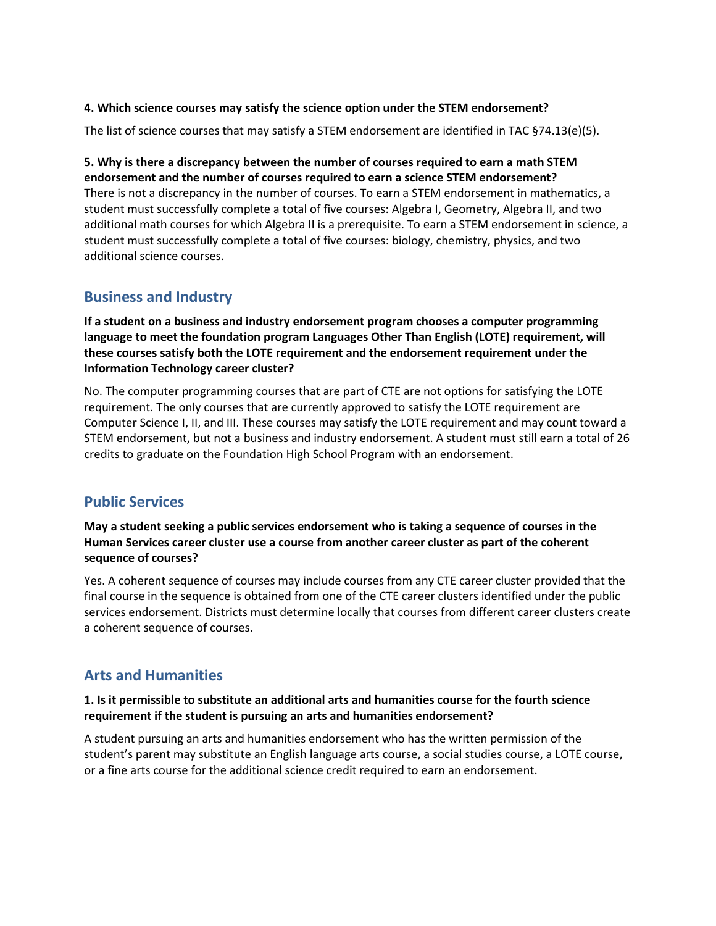### **4. Which science courses may satisfy the science option under the STEM endorsement?**

The list of science courses that may satisfy a STEM endorsement are identified in TAC §74.13(e)(5).

#### **5. Why is there a discrepancy between the number of courses required to earn a math STEM endorsement and the number of courses required to earn a science STEM endorsement?**

There is not a discrepancy in the number of courses. To earn a STEM endorsement in mathematics, a student must successfully complete a total of five courses: Algebra I, Geometry, Algebra II, and two additional math courses for which Algebra II is a prerequisite. To earn a STEM endorsement in science, a student must successfully complete a total of five courses: biology, chemistry, physics, and two additional science courses.

## **Business and Industry**

**If a student on a business and industry endorsement program chooses a computer programming language to meet the foundation program Languages Other Than English (LOTE) requirement, will these courses satisfy both the LOTE requirement and the endorsement requirement under the Information Technology career cluster?**

No. The computer programming courses that are part of CTE are not options for satisfying the LOTE requirement. The only courses that are currently approved to satisfy the LOTE requirement are Computer Science I, II, and III. These courses may satisfy the LOTE requirement and may count toward a STEM endorsement, but not a business and industry endorsement. A student must still earn a total of 26 credits to graduate on the Foundation High School Program with an endorsement.

# **Public Services**

**May a student seeking a public services endorsement who is taking a sequence of courses in the Human Services career cluster use a course from another career cluster as part of the coherent sequence of courses?** 

Yes. A coherent sequence of courses may include courses from any CTE career cluster provided that the final course in the sequence is obtained from one of the CTE career clusters identified under the public services endorsement. Districts must determine locally that courses from different career clusters create a coherent sequence of courses.

# **Arts and Humanities**

## **1. Is it permissible to substitute an additional arts and humanities course for the fourth science requirement if the student is pursuing an arts and humanities endorsement?**

A student pursuing an arts and humanities endorsement who has the written permission of the student's parent may substitute an English language arts course, a social studies course, a LOTE course, or a fine arts course for the additional science credit required to earn an endorsement.